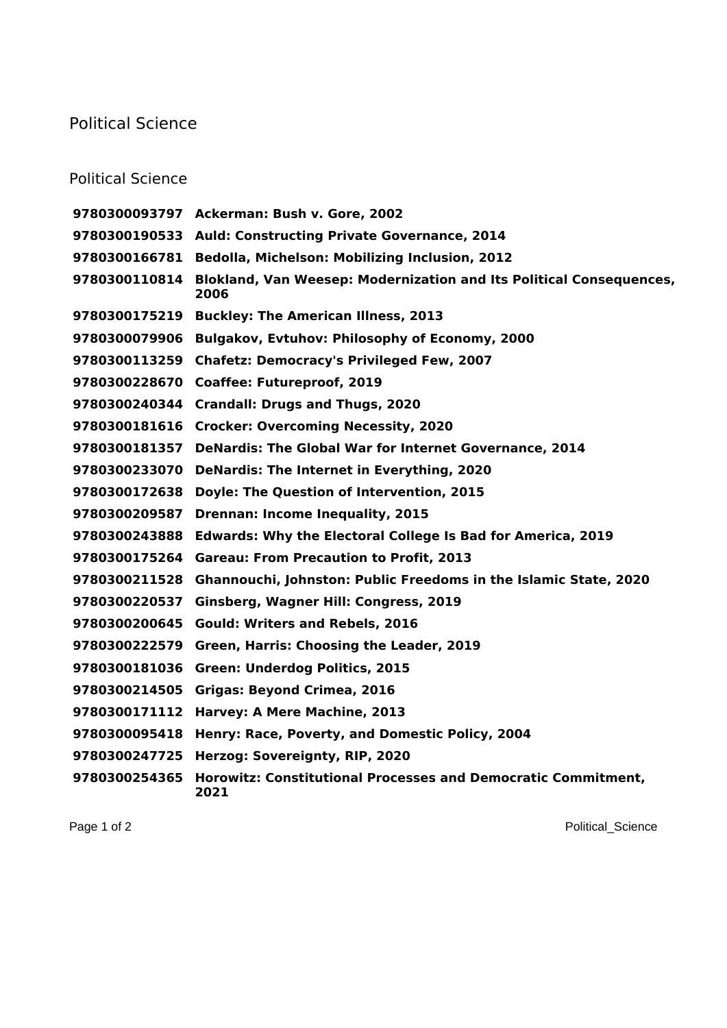## Political Science

## Political Science

|               | 9780300093797 Ackerman: Bush v. Gore, 2002                                  |
|---------------|-----------------------------------------------------------------------------|
|               | 9780300190533 Auld: Constructing Private Governance, 2014                   |
| 9780300166781 | Bedolla, Michelson: Mobilizing Inclusion, 2012                              |
| 9780300110814 | Blokland, Van Weesep: Modernization and Its Political Consequences,<br>2006 |
| 9780300175219 | <b>Buckley: The American Illness, 2013</b>                                  |
| 9780300079906 | <b>Bulgakov, Evtuhov: Philosophy of Economy, 2000</b>                       |
| 9780300113259 | <b>Chafetz: Democracy's Privileged Few, 2007</b>                            |
| 9780300228670 | <b>Coaffee: Futureproof, 2019</b>                                           |
| 9780300240344 | <b>Crandall: Drugs and Thugs, 2020</b>                                      |
| 9780300181616 | <b>Crocker: Overcoming Necessity, 2020</b>                                  |
| 9780300181357 | <b>DeNardis: The Global War for Internet Governance, 2014</b>               |
| 9780300233070 | DeNardis: The Internet in Everything, 2020                                  |
| 9780300172638 | Doyle: The Question of Intervention, 2015                                   |
| 9780300209587 | <b>Drennan: Income Inequality, 2015</b>                                     |
| 9780300243888 | <b>Edwards: Why the Electoral College Is Bad for America, 2019</b>          |
| 9780300175264 | <b>Gareau: From Precaution to Profit, 2013</b>                              |
| 9780300211528 | Ghannouchi, Johnston: Public Freedoms in the Islamic State, 2020            |
| 9780300220537 | Ginsberg, Wagner Hill: Congress, 2019                                       |
| 9780300200645 | <b>Gould: Writers and Rebels, 2016</b>                                      |
| 9780300222579 | Green, Harris: Choosing the Leader, 2019                                    |
| 9780300181036 | <b>Green: Underdog Politics, 2015</b>                                       |
| 9780300214505 | <b>Grigas: Beyond Crimea, 2016</b>                                          |
| 9780300171112 | Harvey: A Mere Machine, 2013                                                |
| 9780300095418 | Henry: Race, Poverty, and Domestic Policy, 2004                             |
| 9780300247725 | Herzog: Sovereignty, RIP, 2020                                              |
| 9780300254365 | Horowitz: Constitutional Processes and Democratic Commitment,<br>2021       |

Page 1 of 2 Political\_Science Political\_Science